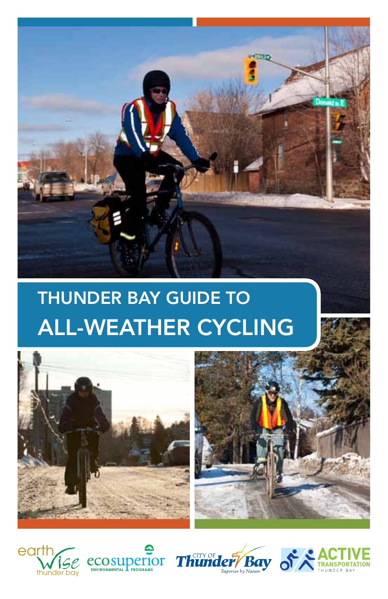

# Thunder Bay Guide to All-Weather Cycling











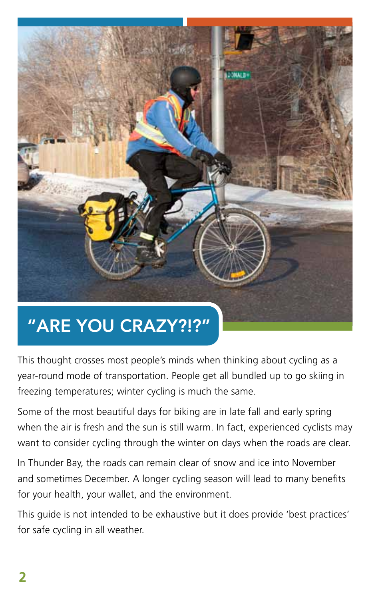

## "Are You Crazy?!?"

This thought crosses most people's minds when thinking about cycling as a year-round mode of transportation. People get all bundled up to go skiing in freezing temperatures; winter cycling is much the same.

Some of the most beautiful days for biking are in late fall and early spring when the air is fresh and the sun is still warm. In fact, experienced cyclists may want to consider cycling through the winter on days when the roads are clear.

In Thunder Bay, the roads can remain clear of snow and ice into November and sometimes December. A longer cycling season will lead to many benefits for your health, your wallet, and the environment.

This guide is not intended to be exhaustive but it does provide 'best practices' for safe cycling in all weather.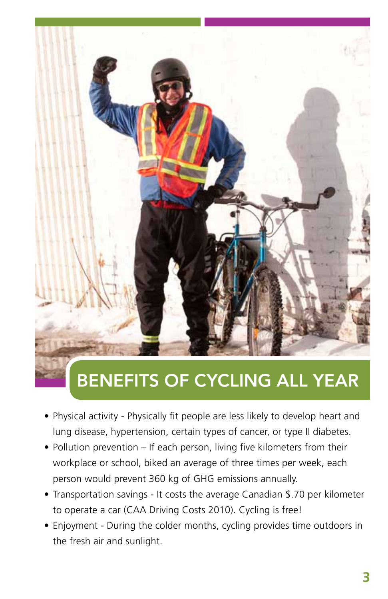

## Benefits of Cycling All Year

- Physical activity Physically fit people are less likely to develop heart and lung disease, hypertension, certain types of cancer, or type II diabetes.
- Pollution prevention If each person, living five kilometers from their workplace or school, biked an average of three times per week, each person would prevent 360 kg of GHG emissions annually.
- Transportation savings It costs the average Canadian \$.70 per kilometer to operate a car (CAA Driving Costs 2010). Cycling is free!
- Enjoyment During the colder months, cycling provides time outdoors in the fresh air and sunlight.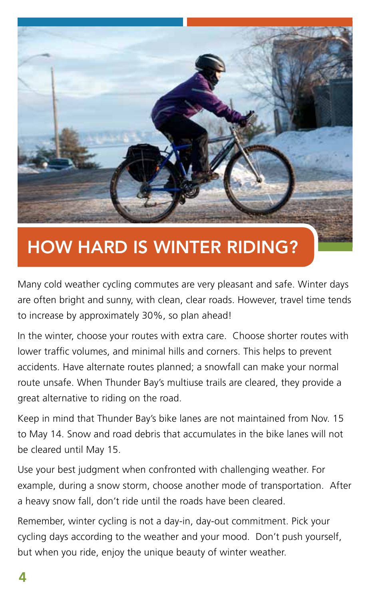

## How Hard is Winter Riding?

Many cold weather cycling commutes are very pleasant and safe. Winter days are often bright and sunny, with clean, clear roads. However, travel time tends to increase by approximately 30%, so plan ahead!

In the winter, choose your routes with extra care. Choose shorter routes with lower traffic volumes, and minimal hills and corners. This helps to prevent accidents. Have alternate routes planned; a snowfall can make your normal route unsafe. When Thunder Bay's multiuse trails are cleared, they provide a great alternative to riding on the road.

Keep in mind that Thunder Bay's bike lanes are not maintained from Nov. 15 to May 14. Snow and road debris that accumulates in the bike lanes will not be cleared until May 15.

Use your best judgment when confronted with challenging weather. For example, during a snow storm, choose another mode of transportation. After a heavy snow fall, don't ride until the roads have been cleared.

Remember, winter cycling is not a day-in, day-out commitment. Pick your cycling days according to the weather and your mood. Don't push yourself, but when you ride, enjoy the unique beauty of winter weather.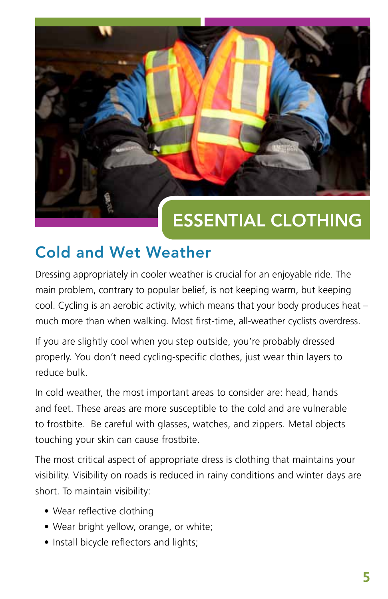

## Essential Clothing

#### Cold and Wet Weather

Dressing appropriately in cooler weather is crucial for an enjoyable ride. The main problem, contrary to popular belief, is not keeping warm, but keeping cool. Cycling is an aerobic activity, which means that your body produces heat – much more than when walking. Most first-time, all-weather cyclists overdress.

If you are slightly cool when you step outside, you're probably dressed properly. You don't need cycling-specific clothes, just wear thin layers to reduce bulk.

In cold weather, the most important areas to consider are: head, hands and feet. These areas are more susceptible to the cold and are vulnerable to frostbite. Be careful with glasses, watches, and zippers. Metal objects touching your skin can cause frostbite.

The most critical aspect of appropriate dress is clothing that maintains your visibility. Visibility on roads is reduced in rainy conditions and winter days are short. To maintain visibility:

- Wear reflective clothing
- Wear bright yellow, orange, or white;
- Install bicycle reflectors and lights;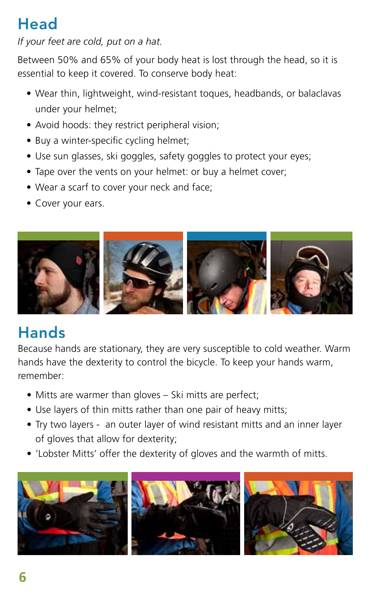### **Head**

#### *If your feet are cold, put on a hat.*

Between 50% and 65% of your body heat is lost through the head, so it is essential to keep it covered. To conserve body heat:

- Wear thin, lightweight, wind-resistant toques, headbands, or balaclavas under your helmet;
- Avoid hoods: they restrict peripheral vision;
- Buy a winter-specific cycling helmet;
- Use sun glasses, ski goggles, safety goggles to protect your eyes;
- Tape over the vents on your helmet: or buy a helmet cover;
- Wear a scarf to cover your neck and face;
- Cover your ears.



#### Hands

Because hands are stationary, they are very susceptible to cold weather. Warm hands have the dexterity to control the bicycle. To keep your hands warm, remember:

- Mitts are warmer than gloves Ski mitts are perfect;
- Use layers of thin mitts rather than one pair of heavy mitts;
- Try two layers an outer layer of wind resistant mitts and an inner layer of gloves that allow for dexterity;
- 'Lobster Mitts' offer the dexterity of gloves and the warmth of mitts.

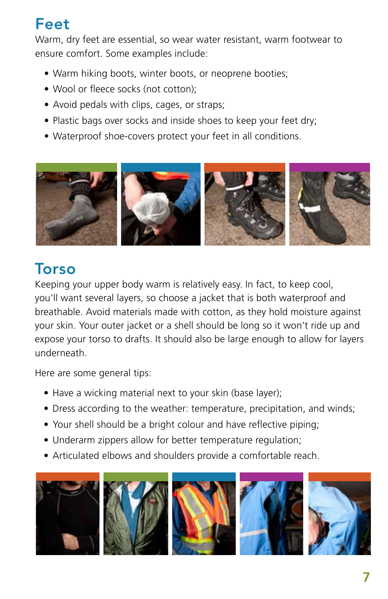#### Feet

Warm, dry feet are essential, so wear water resistant, warm footwear to ensure comfort. Some examples include:

- Warm hiking boots, winter boots, or neoprene booties;
- Wool or fleece socks (not cotton);
- Avoid pedals with clips, cages, or straps;
- Plastic bags over socks and inside shoes to keep your feet dry;
- Waterproof shoe-covers protect your feet in all conditions.



#### Torso

Keeping your upper body warm is relatively easy. In fact, to keep cool, you'll want several layers, so choose a jacket that is both waterproof and breathable. Avoid materials made with cotton, as they hold moisture against your skin. Your outer jacket or a shell should be long so it won't ride up and expose your torso to drafts. It should also be large enough to allow for layers underneath.

Here are some general tips:

- Have a wicking material next to your skin (base layer);
- Dress according to the weather: temperature, precipitation, and winds;
- Your shell should be a bright colour and have reflective piping;
- Underarm zippers allow for better temperature regulation;
- Articulated elbows and shoulders provide a comfortable reach.









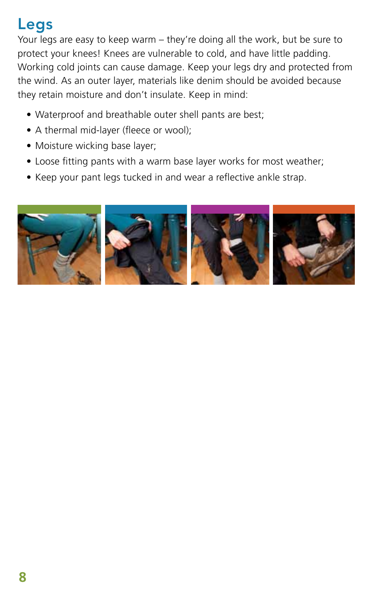### Legs

Your legs are easy to keep warm – they're doing all the work, but be sure to protect your knees! Knees are vulnerable to cold, and have little padding. Working cold joints can cause damage. Keep your legs dry and protected from the wind. As an outer layer, materials like denim should be avoided because they retain moisture and don't insulate. Keep in mind:

- Waterproof and breathable outer shell pants are best;
- A thermal mid-layer (fleece or wool);
- Moisture wicking base layer;
- Loose fitting pants with a warm base layer works for most weather;
- Keep your pant legs tucked in and wear a reflective ankle strap.

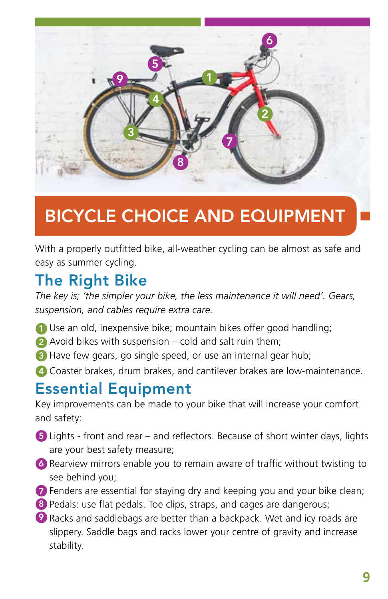

## Bicycle Choice and Equipment

With a properly outfitted bike, all-weather cycling can be almost as safe and easy as summer cycling.

#### The Right Bike

*The key is; 'the simpler your bike, the less maintenance it will need'. Gears, suspension, and cables require extra care.* 

- 1 Use an old, inexpensive bike; mountain bikes offer good handling;
- 2 Avoid bikes with suspension cold and salt ruin them;
- **3** Have few gears, go single speed, or use an internal gear hub;
- Coaster brakes, drum brakes, and cantilever brakes are low-maintenance. 4

#### Essential Equipment

Key improvements can be made to your bike that will increase your comfort and safety:

- 5) Lights front and rear and reflectors. Because of short winter days, lights are your best safety measure;
- 6) Rearview mirrors enable you to remain aware of traffic without twisting to see behind you;
- 7) Fenders are essential for staying dry and keeping you and your bike clean;
- 8) Pedals: use flat pedals. Toe clips, straps, and cages are dangerous;
- **9** Racks and saddlebags are better than a backpack. Wet and icy roads are slippery. Saddle bags and racks lower your centre of gravity and increase stability.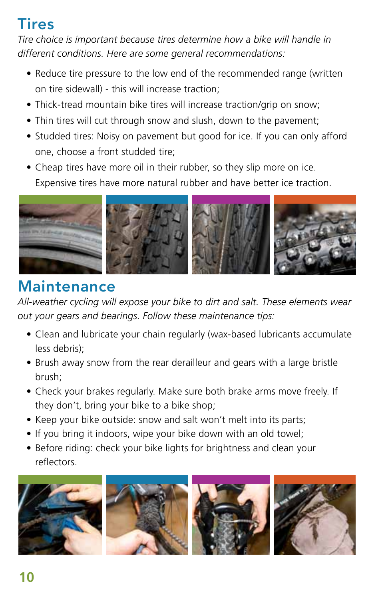#### Tires

*Tire choice is important because tires determine how a bike will handle in different conditions. Here are some general recommendations:*

- Reduce tire pressure to the low end of the recommended range (written on tire sidewall) - this will increase traction;
- Thick-tread mountain bike tires will increase traction/grip on snow;
- Thin tires will cut through snow and slush, down to the pavement;
- Studded tires: Noisy on pavement but good for ice. If you can only afford one, choose a front studded tire;
- Cheap tires have more oil in their rubber, so they slip more on ice. Expensive tires have more natural rubber and have better ice traction.



#### Maintenance

*All-weather cycling will expose your bike to dirt and salt. These elements wear out your gears and bearings. Follow these maintenance tips:*

- Clean and lubricate your chain regularly (wax-based lubricants accumulate less debris);
- Brush away snow from the rear derailleur and gears with a large bristle brush;
- Check your brakes regularly. Make sure both brake arms move freely. If they don't, bring your bike to a bike shop;
- Keep your bike outside: snow and salt won't melt into its parts;
- If you bring it indoors, wipe your bike down with an old towel;
- Before riding: check your bike lights for brightness and clean your reflectors.

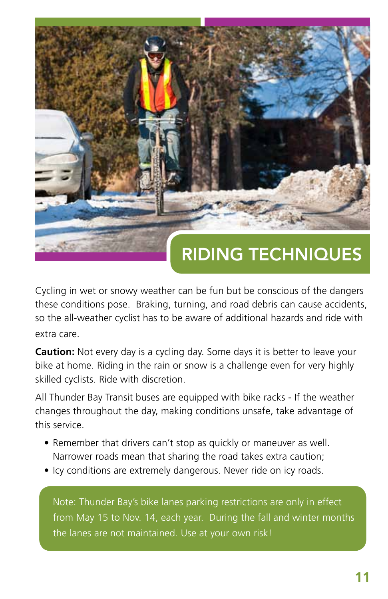

Cycling in wet or snowy weather can be fun but be conscious of the dangers these conditions pose. Braking, turning, and road debris can cause accidents, so the all-weather cyclist has to be aware of additional hazards and ride with extra care.

**Caution:** Not every day is a cycling day. Some days it is better to leave your bike at home. Riding in the rain or snow is a challenge even for very highly skilled cyclists. Ride with discretion.

All Thunder Bay Transit buses are equipped with bike racks - If the weather changes throughout the day, making conditions unsafe, take advantage of this service.

- Remember that drivers can't stop as quickly or maneuver as well. Narrower roads mean that sharing the road takes extra caution;
- Icy conditions are extremely dangerous. Never ride on icy roads.

Note: Thunder Bay's bike lanes parking restrictions are only in effect from May 15 to Nov. 14, each year. During the fall and winter months the lanes are not maintained. Use at your own risk!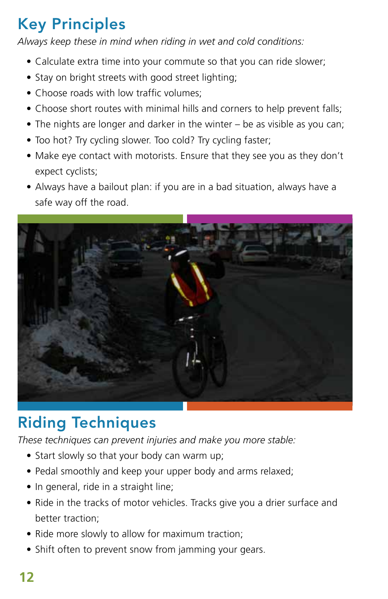### Key Principles

*Always keep these in mind when riding in wet and cold conditions:*

- Calculate extra time into your commute so that you can ride slower;
- Stay on bright streets with good street lighting;
- Choose roads with low traffic volumes;
- Choose short routes with minimal hills and corners to help prevent falls;
- The nights are longer and darker in the winter be as visible as you can;
- Too hot? Try cycling slower. Too cold? Try cycling faster;
- Make eye contact with motorists. Ensure that they see you as they don't expect cyclists;
- Always have a bailout plan: if you are in a bad situation, always have a safe way off the road.



### Riding Techniques

*These techniques can prevent injuries and make you more stable:*

- Start slowly so that your body can warm up;
- Pedal smoothly and keep your upper body and arms relaxed;
- In general, ride in a straight line;
- Ride in the tracks of motor vehicles. Tracks give you a drier surface and better traction;
- Ride more slowly to allow for maximum traction;
- Shift often to prevent snow from jamming your gears.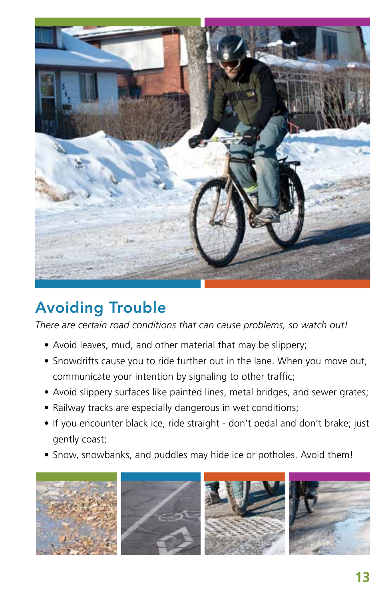

### Avoiding Trouble

*There are certain road conditions that can cause problems, so watch out!*

- Avoid leaves, mud, and other material that may be slippery;
- Snowdrifts cause you to ride further out in the lane. When you move out, communicate your intention by signaling to other traffic;
- Avoid slippery surfaces like painted lines, metal bridges, and sewer grates;
- Railway tracks are especially dangerous in wet conditions;
- If you encounter black ice, ride straight don't pedal and don't brake; just gently coast;
- Snow, snowbanks, and puddles may hide ice or potholes. Avoid them!

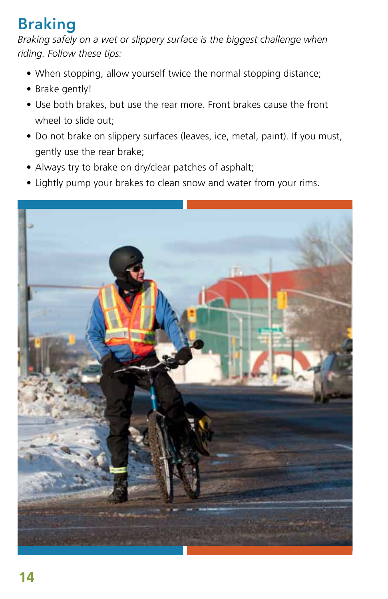### Braking

*Braking safely on a wet or slippery surface is the biggest challenge when riding. Follow these tips:*

- When stopping, allow yourself twice the normal stopping distance;
- Brake gently!
- Use both brakes, but use the rear more. Front brakes cause the front wheel to slide out;
- Do not brake on slippery surfaces (leaves, ice, metal, paint). If you must, gently use the rear brake;
- Always try to brake on dry/clear patches of asphalt;
- Lightly pump your brakes to clean snow and water from your rims.

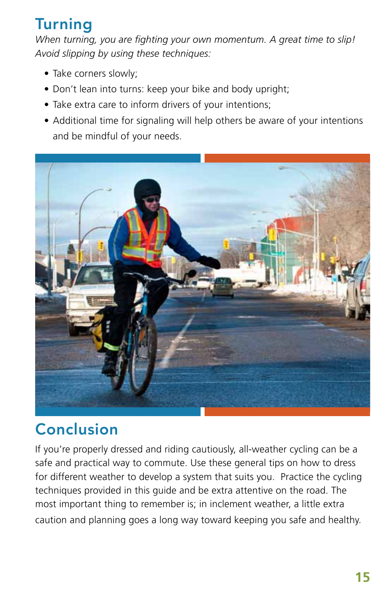#### Turning

*When turning, you are fighting your own momentum. A great time to slip! Avoid slipping by using these techniques:*

- Take corners slowly;
- Don't lean into turns: keep your bike and body upright;
- Take extra care to inform drivers of your intentions;
- Additional time for signaling will help others be aware of your intentions and be mindful of your needs.



#### Conclusion

If you're properly dressed and riding cautiously, all-weather cycling can be a safe and practical way to commute. Use these general tips on how to dress for different weather to develop a system that suits you. Practice the cycling techniques provided in this guide and be extra attentive on the road. The most important thing to remember is; in inclement weather, a little extra caution and planning goes a long way toward keeping you safe and healthy.